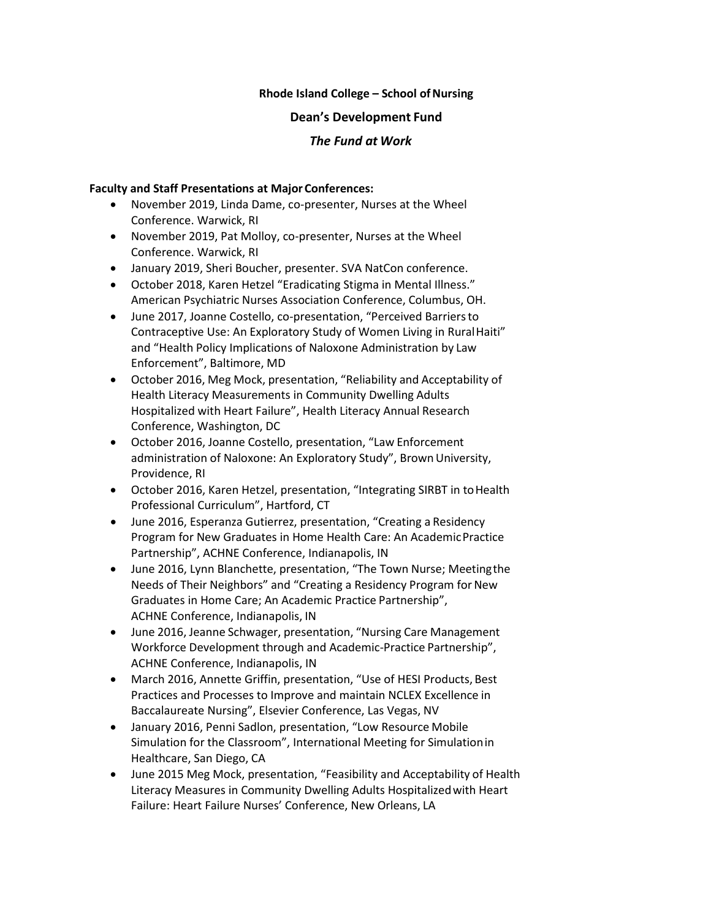### **Rhode Island College – School of Nursing**

#### **Dean's Development Fund**

### *The Fund at Work*

#### **Faculty and Staff Presentations at Major Conferences:**

- November 2019, Linda Dame, co-presenter, Nurses at the Wheel Conference. Warwick, RI
- November 2019, Pat Molloy, co-presenter, Nurses at the Wheel Conference. Warwick, RI
- January 2019, Sheri Boucher, presenter. SVA NatCon conference.
- October 2018, Karen Hetzel "Eradicating Stigma in Mental Illness." American Psychiatric Nurses Association Conference, Columbus, OH.
- June 2017, Joanne Costello, co-presentation, "Perceived Barriersto Contraceptive Use: An Exploratory Study of Women Living in RuralHaiti" and "Health Policy Implications of Naloxone Administration by Law Enforcement", Baltimore, MD
- October 2016, Meg Mock, presentation, "Reliability and Acceptability of Health Literacy Measurements in Community Dwelling Adults Hospitalized with Heart Failure", Health Literacy Annual Research Conference, Washington, DC
- October 2016, Joanne Costello, presentation, "Law Enforcement administration of Naloxone: An Exploratory Study", BrownUniversity, Providence, RI
- October 2016, Karen Hetzel, presentation, "Integrating SIRBT in to Health Professional Curriculum", Hartford, CT
- June 2016, Esperanza Gutierrez, presentation, "Creating a Residency Program for New Graduates in Home Health Care: An AcademicPractice Partnership", ACHNE Conference, Indianapolis, IN
- June 2016, Lynn Blanchette, presentation, "The Town Nurse; Meetingthe Needs of Their Neighbors" and "Creating a Residency Program for New Graduates in Home Care; An Academic Practice Partnership", ACHNE Conference, Indianapolis, IN
- June 2016, Jeanne Schwager, presentation, "Nursing Care Management Workforce Development through and Academic-Practice Partnership", ACHNE Conference, Indianapolis, IN
- March 2016, Annette Griffin, presentation, "Use of HESI Products, Best Practices and Processes to Improve and maintain NCLEX Excellence in Baccalaureate Nursing", Elsevier Conference, Las Vegas, NV
- January 2016, Penni Sadlon, presentation, "Low Resource Mobile Simulation for the Classroom", International Meeting for Simulationin Healthcare, San Diego, CA
- June 2015 Meg Mock, presentation, "Feasibility and Acceptability of Health Literacy Measures in Community Dwelling Adults Hospitalizedwith Heart Failure: Heart Failure Nurses' Conference, New Orleans, LA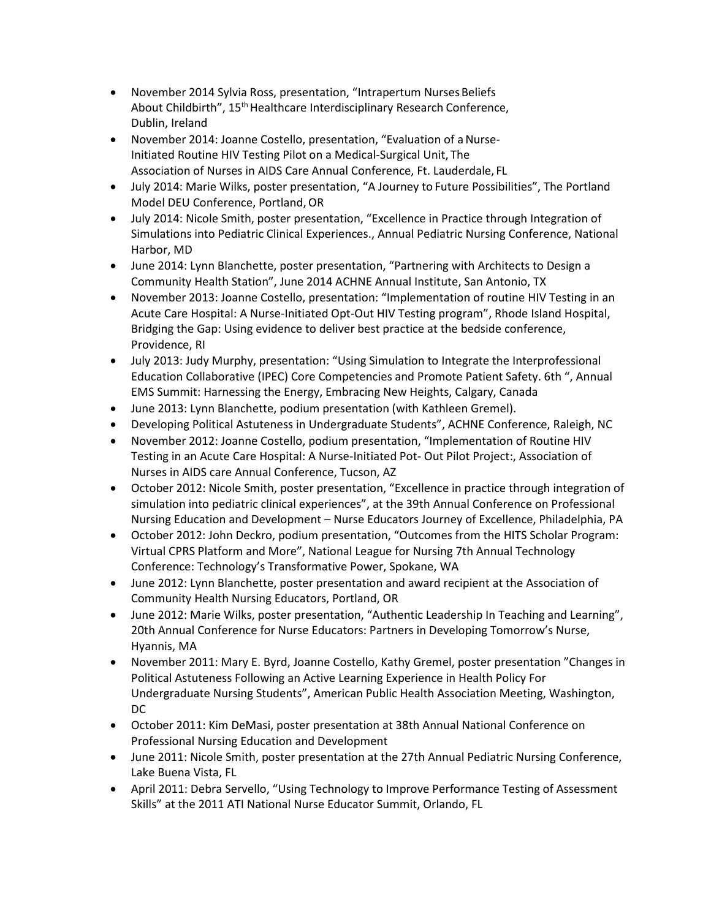- November 2014 Sylvia Ross, presentation, "Intrapertum Nurses Beliefs About Childbirth", 15<sup>th</sup> Healthcare Interdisciplinary Research Conference, Dublin, Ireland
- November 2014: Joanne Costello, presentation, "Evaluation of a Nurse-Initiated Routine HIV Testing Pilot on a Medical-Surgical Unit, The Association of Nurses in AIDS Care Annual Conference, Ft. Lauderdale, FL
- July 2014: Marie Wilks, poster presentation, "A Journey to Future Possibilities", The Portland Model DEU Conference, Portland,OR
- July 2014: Nicole Smith, poster presentation, "Excellence in Practice through Integration of Simulations into Pediatric Clinical Experiences., Annual Pediatric Nursing Conference, National Harbor, MD
- June 2014: Lynn Blanchette, poster presentation, "Partnering with Architects to Design a Community Health Station", June 2014 ACHNE Annual Institute, San Antonio, TX
- November 2013: Joanne Costello, presentation: "Implementation of routine HIV Testing in an Acute Care Hospital: A Nurse-Initiated Opt-Out HIV Testing program", Rhode Island Hospital, Bridging the Gap: Using evidence to deliver best practice at the bedside conference, Providence, RI
- July 2013: Judy Murphy, presentation: "Using Simulation to Integrate the Interprofessional Education Collaborative (IPEC) Core Competencies and Promote Patient Safety. 6th ", Annual EMS Summit: Harnessing the Energy, Embracing New Heights, Calgary, Canada
- June 2013: Lynn Blanchette, podium presentation (with Kathleen Gremel).
- Developing Political Astuteness in Undergraduate Students", ACHNE Conference, Raleigh, NC
- November 2012: Joanne Costello, podium presentation, "Implementation of Routine HIV Testing in an Acute Care Hospital: A Nurse-Initiated Pot- Out Pilot Project:, Association of Nurses in AIDS care Annual Conference, Tucson, AZ
- October 2012: Nicole Smith, poster presentation, "Excellence in practice through integration of simulation into pediatric clinical experiences", at the 39th Annual Conference on Professional Nursing Education and Development – Nurse Educators Journey of Excellence, Philadelphia, PA
- October 2012: John Deckro, podium presentation, "Outcomes from the HITS Scholar Program: Virtual CPRS Platform and More", National League for Nursing 7th Annual Technology Conference: Technology's Transformative Power, Spokane, WA
- June 2012: Lynn Blanchette, poster presentation and award recipient at the Association of Community Health Nursing Educators, Portland, OR
- June 2012: Marie Wilks, poster presentation, "Authentic Leadership In Teaching and Learning", 20th Annual Conference for Nurse Educators: Partners in Developing Tomorrow's Nurse, Hyannis, MA
- November 2011: Mary E. Byrd, Joanne Costello, Kathy Gremel, poster presentation "Changes in Political Astuteness Following an Active Learning Experience in Health Policy For Undergraduate Nursing Students", American Public Health Association Meeting, Washington, DC
- October 2011: Kim DeMasi, poster presentation at 38th Annual National Conference on Professional Nursing Education and Development
- June 2011: Nicole Smith, poster presentation at the 27th Annual Pediatric Nursing Conference, Lake Buena Vista, FL
- April 2011: Debra Servello, "Using Technology to Improve Performance Testing of Assessment Skills" at the 2011 ATI National Nurse Educator Summit, Orlando, FL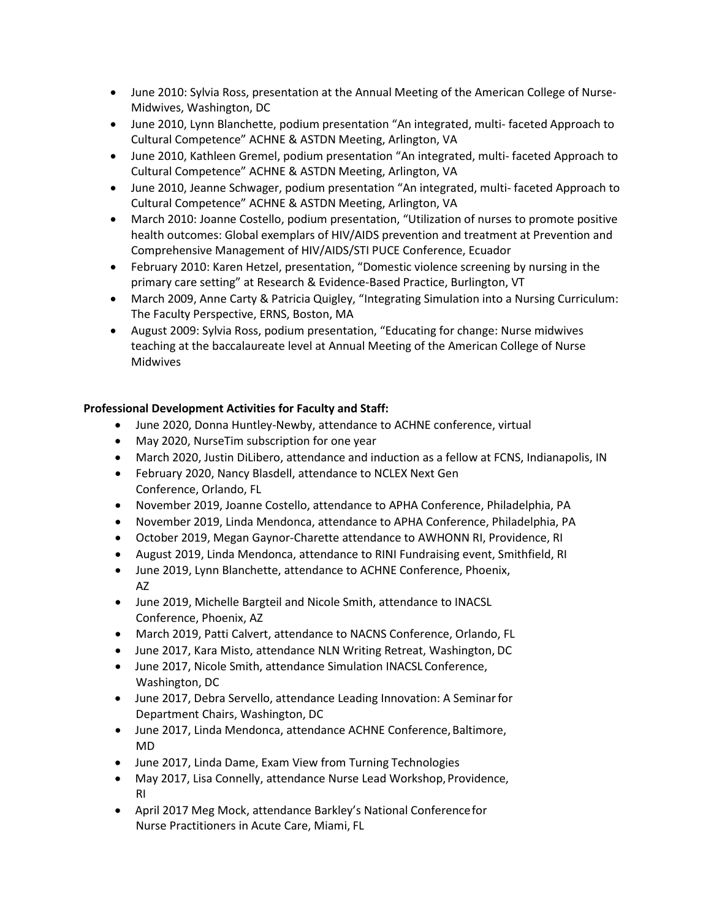- June 2010: Sylvia Ross, presentation at the Annual Meeting of the American College of Nurse-Midwives, Washington, DC
- June 2010, Lynn Blanchette, podium presentation "An integrated, multi- faceted Approach to Cultural Competence" ACHNE & ASTDN Meeting, Arlington, VA
- June 2010, Kathleen Gremel, podium presentation "An integrated, multi- faceted Approach to Cultural Competence" ACHNE & ASTDN Meeting, Arlington, VA
- June 2010, Jeanne Schwager, podium presentation "An integrated, multi- faceted Approach to Cultural Competence" ACHNE & ASTDN Meeting, Arlington, VA
- March 2010: Joanne Costello, podium presentation, "Utilization of nurses to promote positive health outcomes: Global exemplars of HIV/AIDS prevention and treatment at Prevention and Comprehensive Management of HIV/AIDS/STI PUCE Conference, Ecuador
- February 2010: Karen Hetzel, presentation, "Domestic violence screening by nursing in the primary care setting" at Research & Evidence-Based Practice, Burlington, VT
- March 2009, Anne Carty & Patricia Quigley, "Integrating Simulation into a Nursing Curriculum: The Faculty Perspective, ERNS, Boston, MA
- August 2009: Sylvia Ross, podium presentation, "Educating for change: Nurse midwives teaching at the baccalaureate level at Annual Meeting of the American College of Nurse Midwives

# **Professional Development Activities for Faculty and Staff:**

- June 2020, Donna Huntley-Newby, attendance to ACHNE conference, virtual
- May 2020, NurseTim subscription for one year
- March 2020, Justin DiLibero, attendance and induction as a fellow at FCNS, Indianapolis, IN
- February 2020, Nancy Blasdell, attendance to NCLEX Next Gen Conference, Orlando, FL
- November 2019, Joanne Costello, attendance to APHA Conference, Philadelphia, PA
- November 2019, Linda Mendonca, attendance to APHA Conference, Philadelphia, PA
- October 2019, Megan Gaynor-Charette attendance to AWHONN RI, Providence, RI
- August 2019, Linda Mendonca, attendance to RINI Fundraising event, Smithfield, RI
- June 2019, Lynn Blanchette, attendance to ACHNE Conference, Phoenix, AZ
- June 2019, Michelle Bargteil and Nicole Smith, attendance to INACSL Conference, Phoenix, AZ
- March 2019, Patti Calvert, attendance to NACNS Conference, Orlando, FL
- June 2017, Kara Misto, attendance NLN Writing Retreat, Washington, DC
- June 2017, Nicole Smith, attendance Simulation INACSL Conference, Washington, DC
- June 2017, Debra Servello, attendance Leading Innovation: A Seminarfor Department Chairs, Washington, DC
- June 2017, Linda Mendonca, attendance ACHNE Conference, Baltimore, MD
- June 2017, Linda Dame, Exam View from Turning Technologies
- May 2017, Lisa Connelly, attendance Nurse Lead Workshop, Providence, RI
- April 2017 Meg Mock, attendance Barkley's National Conferencefor Nurse Practitioners in Acute Care, Miami, FL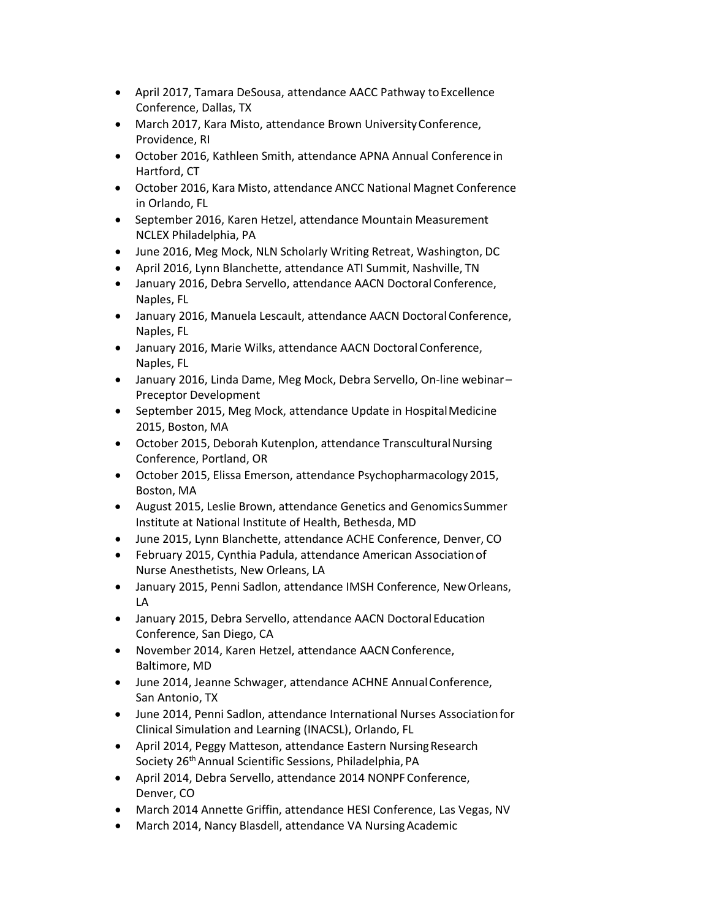- April 2017, Tamara DeSousa, attendance AACC Pathway toExcellence Conference, Dallas, TX
- March 2017, Kara Misto, attendance Brown UniversityConference, Providence, RI
- October 2016, Kathleen Smith, attendance APNA Annual Conference in Hartford, CT
- October 2016, Kara Misto, attendance ANCC National Magnet Conference in Orlando, FL
- September 2016, Karen Hetzel, attendance Mountain Measurement NCLEX Philadelphia, PA
- June 2016, Meg Mock, NLN Scholarly Writing Retreat, Washington, DC
- April 2016, Lynn Blanchette, attendance ATI Summit, Nashville, TN
- January 2016, Debra Servello, attendance AACN Doctoral Conference, Naples, FL
- January 2016, Manuela Lescault, attendance AACN Doctoral Conference, Naples, FL
- January 2016, Marie Wilks, attendance AACN DoctoralConference, Naples, FL
- January 2016, Linda Dame, Meg Mock, Debra Servello, On-line webinar– Preceptor Development
- September 2015, Meg Mock, attendance Update in HospitalMedicine 2015, Boston, MA
- October 2015, Deborah Kutenplon, attendance Transcultural Nursing Conference, Portland, OR
- October 2015, Elissa Emerson, attendance Psychopharmacology 2015, Boston, MA
- August 2015, Leslie Brown, attendance Genetics and GenomicsSummer Institute at National Institute of Health, Bethesda, MD
- June 2015, Lynn Blanchette, attendance ACHE Conference, Denver, CO
- February 2015, Cynthia Padula, attendance American Associationof Nurse Anesthetists, New Orleans, LA
- January 2015, Penni Sadlon, attendance IMSH Conference, NewOrleans, LA
- January 2015, Debra Servello, attendance AACN Doctoral Education Conference, San Diego, CA
- November 2014, Karen Hetzel, attendance AACN Conference, Baltimore, MD
- June 2014, Jeanne Schwager, attendance ACHNE AnnualConference, San Antonio, TX
- June 2014, Penni Sadlon, attendance International Nurses Associationfor Clinical Simulation and Learning (INACSL), Orlando, FL
- April 2014, Peggy Matteson, attendance Eastern NursingResearch Society 26<sup>th</sup> Annual Scientific Sessions, Philadelphia, PA
- April 2014, Debra Servello, attendance 2014 NONPF Conference, Denver, CO
- March 2014 Annette Griffin, attendance HESI Conference, Las Vegas, NV
- March 2014, Nancy Blasdell, attendance VA Nursing Academic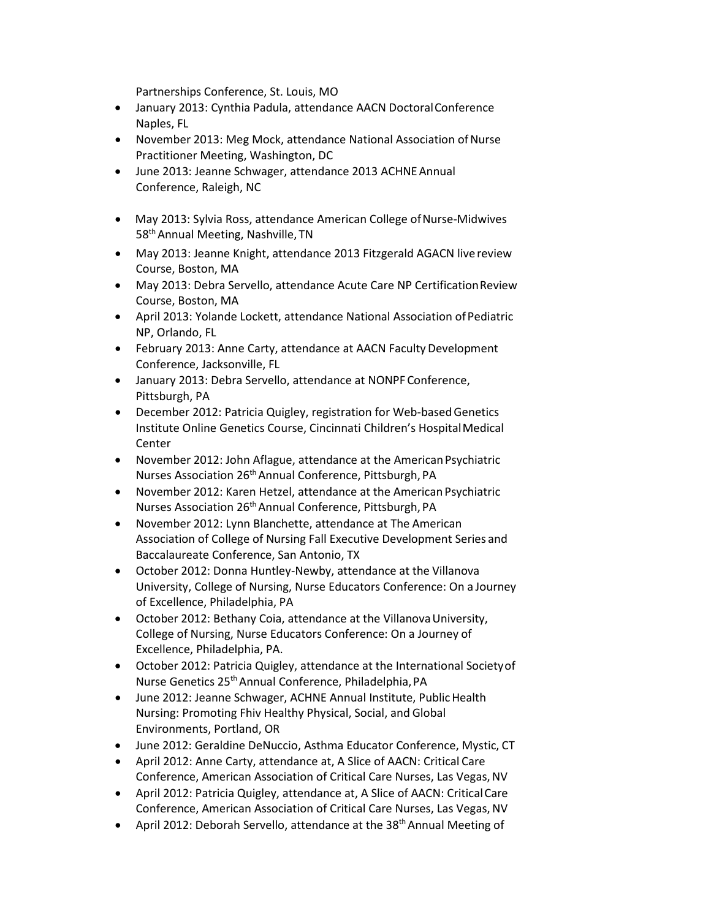Partnerships Conference, St. Louis, MO

- January 2013: Cynthia Padula, attendance AACN DoctoralConference Naples, FL
- November 2013: Meg Mock, attendance National Association of Nurse Practitioner Meeting, Washington, DC
- June 2013: Jeanne Schwager, attendance 2013 ACHNE Annual Conference, Raleigh, NC
- May 2013: Sylvia Ross, attendance American College of Nurse-Midwives 58<sup>th</sup> Annual Meeting, Nashville, TN
- May 2013: Jeanne Knight, attendance 2013 Fitzgerald AGACN live review Course, Boston, MA
- May 2013: Debra Servello, attendance Acute Care NP CertificationReview Course, Boston, MA
- April 2013: Yolande Lockett, attendance National Association of Pediatric NP, Orlando, FL
- February 2013: Anne Carty, attendance at AACN Faculty Development Conference, Jacksonville, FL
- January 2013: Debra Servello, attendance at NONPF Conference, Pittsburgh, PA
- December 2012: Patricia Quigley, registration for Web-basedGenetics Institute Online Genetics Course, Cincinnati Children's Hospital Medical **Center**
- November 2012: John Aflague, attendance at the American Psychiatric Nurses Association 26th Annual Conference, Pittsburgh, PA
- November 2012: Karen Hetzel, attendance at the American Psychiatric Nurses Association 26th Annual Conference, Pittsburgh, PA
- November 2012: Lynn Blanchette, attendance at The American Association of College of Nursing Fall Executive Development Series and Baccalaureate Conference, San Antonio, TX
- October 2012: Donna Huntley-Newby, attendance at the Villanova University, College of Nursing, Nurse Educators Conference: On a Journey of Excellence, Philadelphia, PA
- October 2012: Bethany Coia, attendance at the Villanova University, College of Nursing, Nurse Educators Conference: On a Journey of Excellence, Philadelphia, PA.
- October 2012: Patricia Quigley, attendance at the International Societyof Nurse Genetics 25th Annual Conference, Philadelphia,PA
- June 2012: Jeanne Schwager, ACHNE Annual Institute, Public Health Nursing: Promoting Fhiv Healthy Physical, Social, and Global Environments, Portland, OR
- June 2012: Geraldine DeNuccio, Asthma Educator Conference, Mystic, CT
- April 2012: Anne Carty, attendance at, A Slice of AACN: Critical Care Conference, American Association of Critical Care Nurses, Las Vegas,NV
- April 2012: Patricia Quigley, attendance at, A Slice of AACN: CriticalCare Conference, American Association of Critical Care Nurses, Las Vegas,NV
- April 2012: Deborah Servello, attendance at the 38<sup>th</sup> Annual Meeting of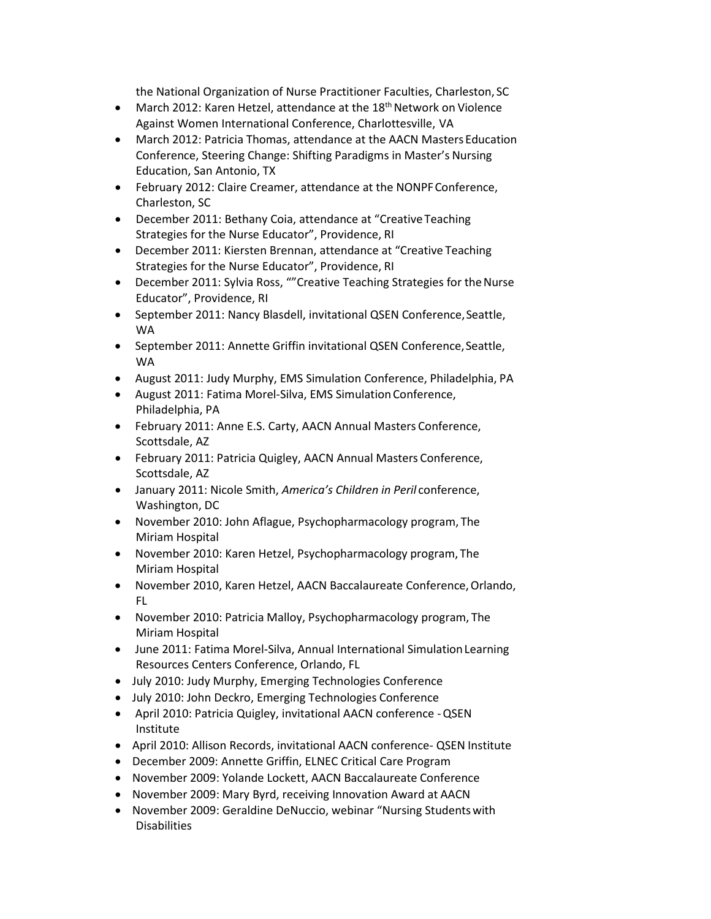the National Organization of Nurse Practitioner Faculties, Charleston, SC

- March 2012: Karen Hetzel, attendance at the 18<sup>th</sup> Network on Violence Against Women International Conference, Charlottesville, VA
- March 2012: Patricia Thomas, attendance at the AACN Masters Education Conference, Steering Change: Shifting Paradigms in Master's Nursing Education, San Antonio, TX
- February 2012: Claire Creamer, attendance at the NONPFConference, Charleston, SC
- December 2011: Bethany Coia, attendance at "Creative Teaching Strategies for the Nurse Educator", Providence, RI
- December 2011: Kiersten Brennan, attendance at "Creative Teaching Strategies for the Nurse Educator", Providence, RI
- December 2011: Sylvia Ross, ""Creative Teaching Strategies for the Nurse Educator", Providence, RI
- September 2011: Nancy Blasdell, invitational QSEN Conference,Seattle, WA
- September 2011: Annette Griffin invitational QSEN Conference,Seattle, WA
- August 2011: Judy Murphy, EMS Simulation Conference, Philadelphia, PA
- August 2011: Fatima Morel-Silva, EMS Simulation Conference, Philadelphia, PA
- February 2011: Anne E.S. Carty, AACN Annual Masters Conference, Scottsdale, AZ
- February 2011: Patricia Quigley, AACN Annual Masters Conference, Scottsdale, AZ
- January 2011: Nicole Smith, *America's Children in Peril* conference, Washington, DC
- November 2010: John Aflague, Psychopharmacology program, The Miriam Hospital
- November 2010: Karen Hetzel, Psychopharmacology program, The Miriam Hospital
- November 2010, Karen Hetzel, AACN Baccalaureate Conference, Orlando, FL
- November 2010: Patricia Malloy, Psychopharmacology program, The Miriam Hospital
- June 2011: Fatima Morel-Silva, Annual International SimulationLearning Resources Centers Conference, Orlando, FL
- July 2010: Judy Murphy, Emerging Technologies Conference
- July 2010: John Deckro, Emerging Technologies Conference
- April 2010: Patricia Quigley, invitational AACN conference -QSEN Institute
- April 2010: Allison Records, invitational AACN conference- QSEN Institute
- December 2009: Annette Griffin, ELNEC Critical Care Program
- November 2009: Yolande Lockett, AACN Baccalaureate Conference
- November 2009: Mary Byrd, receiving Innovation Award at AACN
- November 2009: Geraldine DeNuccio, webinar "Nursing Studentswith Disabilities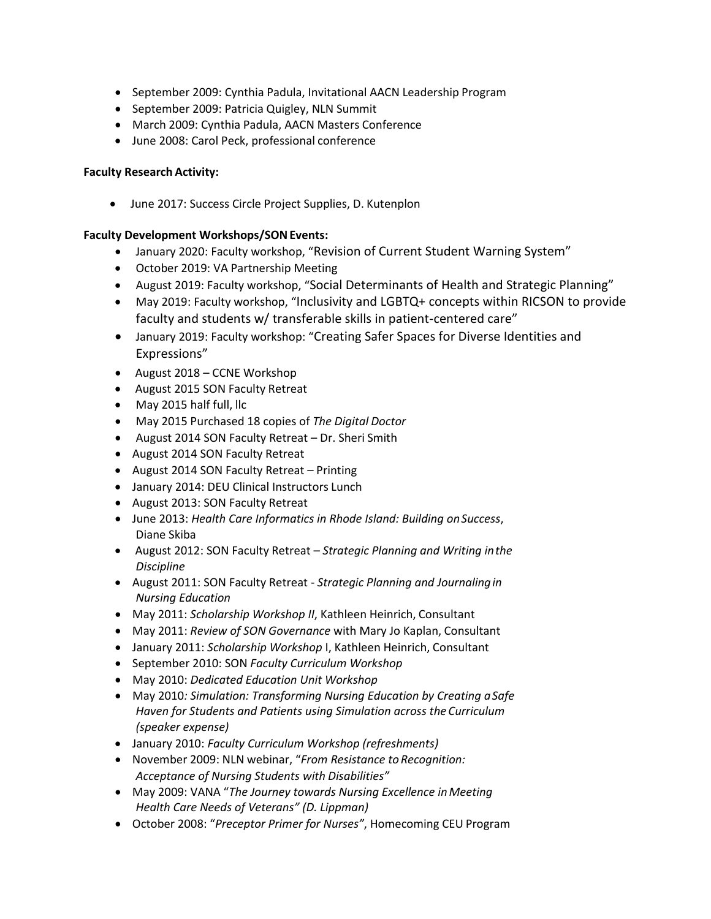- September 2009: Cynthia Padula, Invitational AACN Leadership Program
- September 2009: Patricia Quigley, NLN Summit
- March 2009: Cynthia Padula, AACN Masters Conference
- June 2008: Carol Peck, professional conference

## **Faculty Research Activity:**

• June 2017: Success Circle Project Supplies, D. Kutenplon

## **Faculty Development Workshops/SONEvents:**

- January 2020: Faculty workshop, "Revision of Current Student Warning System"
- October 2019: VA Partnership Meeting
- August 2019: Faculty workshop, "Social Determinants of Health and Strategic Planning"
- May 2019: Faculty workshop, "Inclusivity and LGBTQ+ concepts within RICSON to provide faculty and students w/ transferable skills in patient-centered care"
- January 2019: Faculty workshop: "Creating Safer Spaces for Diverse Identities and Expressions"
- August 2018 CCNE Workshop
- August 2015 SON Faculty Retreat
- May 2015 half full, llc
- May 2015 Purchased 18 copies of *The Digital Doctor*
- August 2014 SON Faculty Retreat Dr. Sheri Smith
- August 2014 SON Faculty Retreat
- August 2014 SON Faculty Retreat Printing
- January 2014: DEU Clinical Instructors Lunch
- August 2013: SON Faculty Retreat
- June 2013: *Health Care Informatics in Rhode Island: Building onSuccess*, Diane Skiba
- August 2012: SON Faculty Retreat *Strategic Planning and Writing inthe Discipline*
- August 2011: SON Faculty Retreat *Strategic Planning and Journalingin Nursing Education*
- May 2011: *Scholarship Workshop II*, Kathleen Heinrich, Consultant
- May 2011: *Review of SON Governance* with Mary Jo Kaplan, Consultant
- January 2011: *Scholarship Workshop* I, Kathleen Heinrich, Consultant
- September 2010: SON *Faculty Curriculum Workshop*
- May 2010: *Dedicated Education Unit Workshop*
- May 2010*: Simulation: Transforming Nursing Education by Creating aSafe Haven for Students and Patients using Simulation across the Curriculum (speaker expense)*
- January 2010: *Faculty Curriculum Workshop (refreshments)*
- November 2009: NLN webinar, "*From Resistance toRecognition: Acceptance of Nursing Students with Disabilities"*
- May 2009: VANA "*The Journey towards Nursing Excellence inMeeting Health Care Needs of Veterans" (D. Lippman)*
- October 2008: "*Preceptor Primer for Nurses"*, Homecoming CEU Program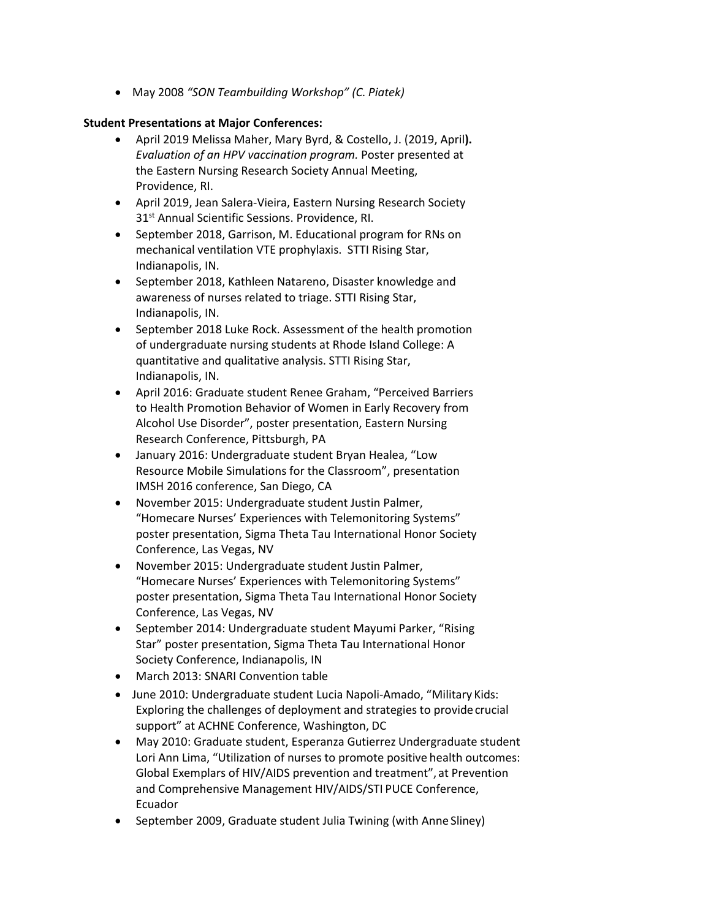• May 2008 *"SON Teambuilding Workshop" (C. Piatek)*

### **Student Presentations at Major Conferences:**

- April 2019 Melissa Maher, Mary Byrd, & Costello, J. (2019, April**).**  *Evaluation of an HPV vaccination program.* Poster presented at the Eastern Nursing Research Society Annual Meeting, Providence, RI.
- April 2019, Jean Salera-Vieira, Eastern Nursing Research Society 31<sup>st</sup> Annual Scientific Sessions. Providence, RI.
- September 2018, Garrison, M. Educational program for RNs on mechanical ventilation VTE prophylaxis. STTI Rising Star, Indianapolis, IN.
- September 2018, Kathleen Natareno, Disaster knowledge and awareness of nurses related to triage. STTI Rising Star, Indianapolis, IN.
- September 2018 Luke Rock. Assessment of the health promotion of undergraduate nursing students at Rhode Island College: A quantitative and qualitative analysis. STTI Rising Star, Indianapolis, IN.
- April 2016: Graduate student Renee Graham, "Perceived Barriers to Health Promotion Behavior of Women in Early Recovery from Alcohol Use Disorder", poster presentation, Eastern Nursing Research Conference, Pittsburgh, PA
- January 2016: Undergraduate student Bryan Healea, "Low Resource Mobile Simulations for the Classroom", presentation IMSH 2016 conference, San Diego, CA
- November 2015: Undergraduate student Justin Palmer, "Homecare Nurses' Experiences with Telemonitoring Systems" poster presentation, Sigma Theta Tau International Honor Society Conference, Las Vegas, NV
- November 2015: Undergraduate student Justin Palmer, "Homecare Nurses' Experiences with Telemonitoring Systems" poster presentation, Sigma Theta Tau International Honor Society Conference, Las Vegas, NV
- September 2014: Undergraduate student Mayumi Parker, "Rising Star" poster presentation, Sigma Theta Tau International Honor Society Conference, Indianapolis, IN
- March 2013: SNARI Convention table
- June 2010: Undergraduate student Lucia Napoli-Amado, "Military Kids: Exploring the challenges of deployment and strategies to provide crucial support" at ACHNE Conference, Washington, DC
- May 2010: Graduate student, Esperanza Gutierrez Undergraduate student Lori Ann Lima, "Utilization of nurses to promote positive health outcomes: Global Exemplars of HIV/AIDS prevention and treatment", at Prevention and Comprehensive Management HIV/AIDS/STI PUCE Conference, Ecuador
- September 2009, Graduate student Julia Twining (with Anne Sliney)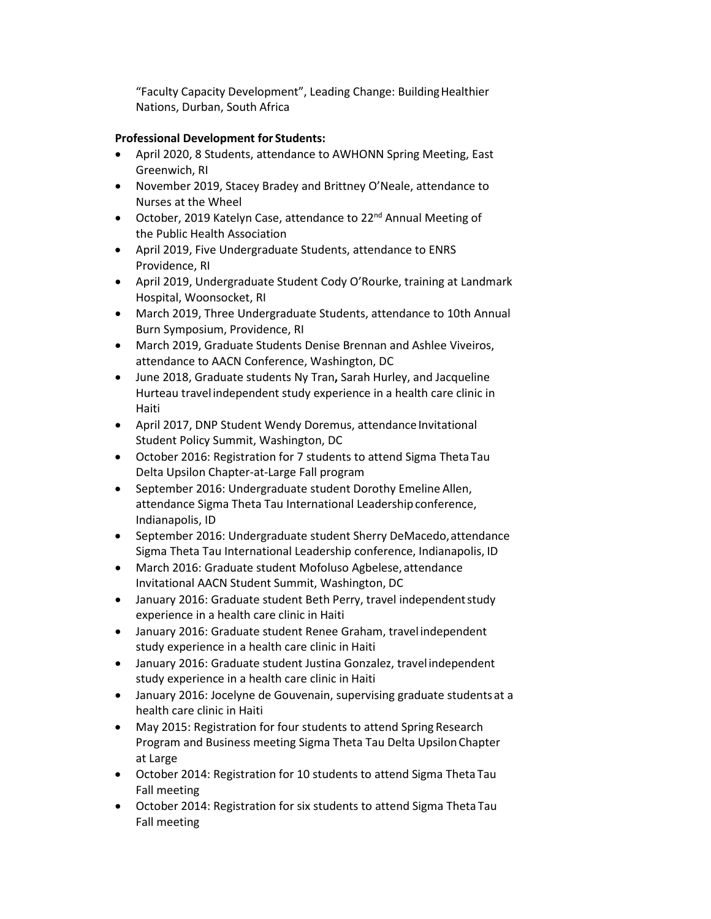"Faculty Capacity Development", Leading Change: BuildingHealthier Nations, Durban, South Africa

# **Professional Development for Students:**

- April 2020, 8 Students, attendance to AWHONN Spring Meeting, East Greenwich, RI
- November 2019, Stacey Bradey and Brittney O'Neale, attendance to Nurses at the Wheel
- October, 2019 Katelyn Case, attendance to 22<sup>nd</sup> Annual Meeting of the Public Health Association
- April 2019, Five Undergraduate Students, attendance to ENRS Providence, RI
- April 2019, Undergraduate Student Cody O'Rourke, training at Landmark Hospital, Woonsocket, RI
- March 2019, Three Undergraduate Students, attendance to 10th Annual Burn Symposium, Providence, RI
- March 2019, Graduate Students Denise Brennan and Ashlee Viveiros, attendance to AACN Conference, Washington, DC
- June 2018, Graduate students Ny Tran**,** Sarah Hurley, and Jacqueline Hurteau travel independent study experience in a health care clinic in Haiti
- April 2017, DNP Student Wendy Doremus, attendance Invitational Student Policy Summit, Washington, DC
- October 2016: Registration for 7 students to attend Sigma Theta Tau Delta Upsilon Chapter-at-Large Fall program
- September 2016: Undergraduate student Dorothy Emeline Allen, attendance Sigma Theta Tau International Leadershipconference, Indianapolis, ID
- September 2016: Undergraduate student Sherry DeMacedo,attendance Sigma Theta Tau International Leadership conference, Indianapolis, ID
- March 2016: Graduate student Mofoluso Agbelese, attendance Invitational AACN Student Summit, Washington, DC
- January 2016: Graduate student Beth Perry, travel independentstudy experience in a health care clinic in Haiti
- January 2016: Graduate student Renee Graham, travel independent study experience in a health care clinic in Haiti
- January 2016: Graduate student Justina Gonzalez, travelindependent study experience in a health care clinic in Haiti
- January 2016: Jocelyne de Gouvenain, supervising graduate students at a health care clinic in Haiti
- May 2015: Registration for four students to attend Spring Research Program and Business meeting Sigma Theta Tau Delta UpsilonChapter at Large
- October 2014: Registration for 10 students to attend Sigma Theta Tau Fall meeting
- October 2014: Registration for six students to attend Sigma Theta Tau Fall meeting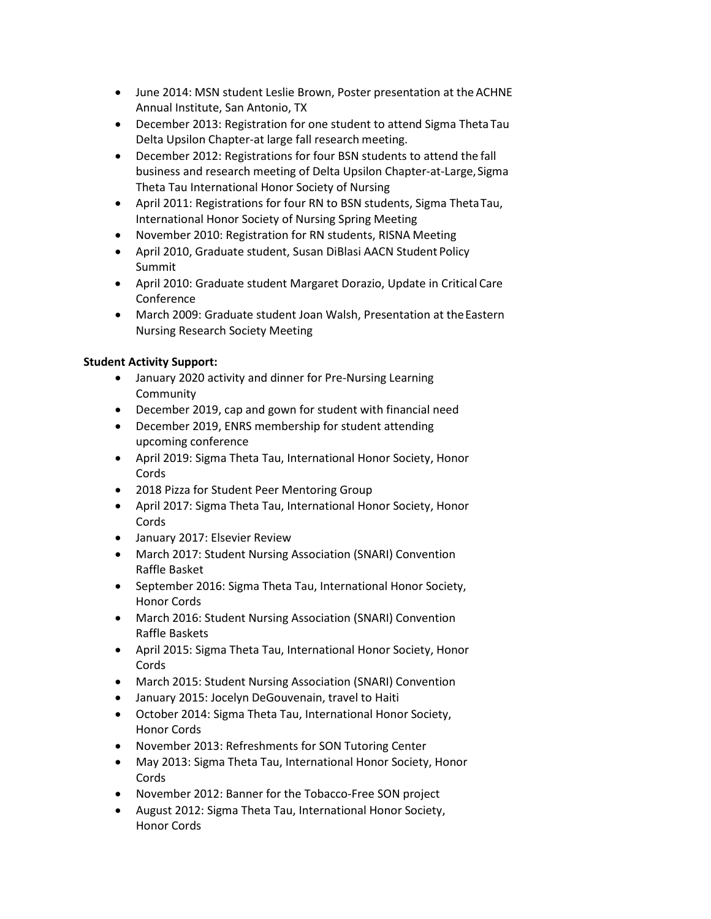- June 2014: MSN student Leslie Brown, Poster presentation at the ACHNE Annual Institute, San Antonio, TX
- December 2013: Registration for one student to attend Sigma ThetaTau Delta Upsilon Chapter-at large fall research meeting.
- December 2012: Registrations for four BSN students to attend the fall business and research meeting of Delta Upsilon Chapter-at-Large, Sigma Theta Tau International Honor Society of Nursing
- April 2011: Registrations for four RN to BSN students, Sigma ThetaTau, International Honor Society of Nursing Spring Meeting
- November 2010: Registration for RN students, RISNA Meeting
- April 2010, Graduate student, Susan DiBlasi AACN Student Policy Summit
- April 2010: Graduate student Margaret Dorazio, Update in Critical Care Conference
- March 2009: Graduate student Joan Walsh, Presentation at the Eastern Nursing Research Society Meeting

# **Student Activity Support:**

- January 2020 activity and dinner for Pre-Nursing Learning Community
- December 2019, cap and gown for student with financial need
- December 2019, ENRS membership for student attending upcoming conference
- April 2019: Sigma Theta Tau, International Honor Society, Honor Cords
- 2018 Pizza for Student Peer Mentoring Group
- April 2017: Sigma Theta Tau, International Honor Society, Honor Cords
- January 2017: Elsevier Review
- March 2017: Student Nursing Association (SNARI) Convention Raffle Basket
- September 2016: Sigma Theta Tau, International Honor Society, Honor Cords
- March 2016: Student Nursing Association (SNARI) Convention Raffle Baskets
- April 2015: Sigma Theta Tau, International Honor Society, Honor Cords
- March 2015: Student Nursing Association (SNARI) Convention
- January 2015: Jocelyn DeGouvenain, travel to Haiti
- October 2014: Sigma Theta Tau, International Honor Society, Honor Cords
- November 2013: Refreshments for SON Tutoring Center
- May 2013: Sigma Theta Tau, International Honor Society, Honor Cords
- November 2012: Banner for the Tobacco-Free SON project
- August 2012: Sigma Theta Tau, International Honor Society, Honor Cords